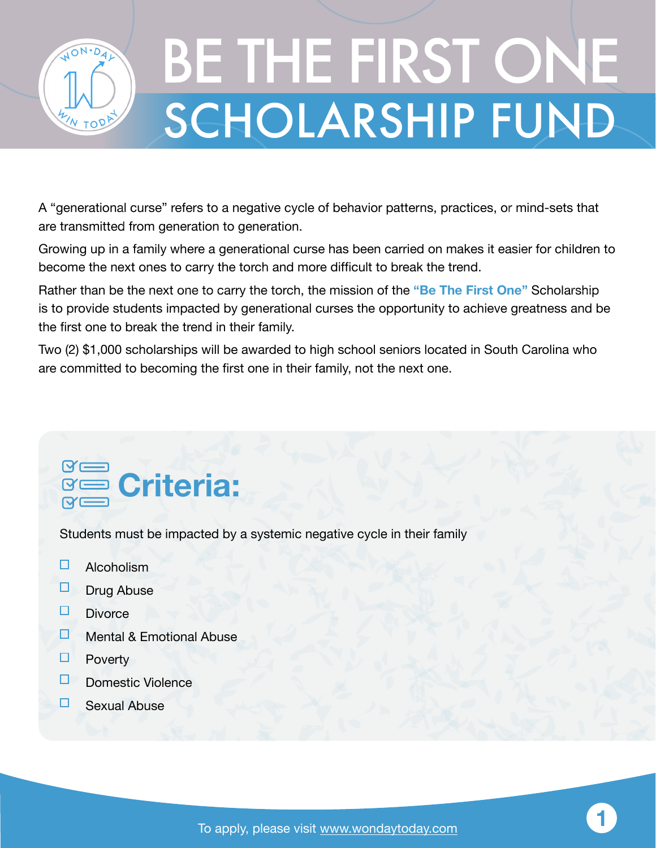

## SCHOLARSHIP FUND BE THE FIRST ONE

A "generational curse" refers to a negative cycle of behavior patterns, practices, or mind-sets that are transmitted from generation to generation.

Growing up in a family where a generational curse has been carried on makes it easier for children to become the next ones to carry the torch and more difficult to break the trend.

Rather than be the next one to carry the torch, the mission of the **"Be The First One"** Scholarship is to provide students impacted by generational curses the opportunity to achieve greatness and be the first one to break the trend in their family.

Two (2) \$1,000 scholarships will be awarded to high school seniors located in South Carolina who are committed to becoming the first one in their family, not the next one.

## $\gamma$   $\Longrightarrow$ **Criteria:**

Students must be impacted by a systemic negative cycle in their family

- $\Box$ Alcoholism
- ◘ Drug Abuse
- П **Divorce**
- П Mental & Emotional Abuse
- 0 Poverty
- п Domestic Violence
- □ Sexual Abuse

**1**